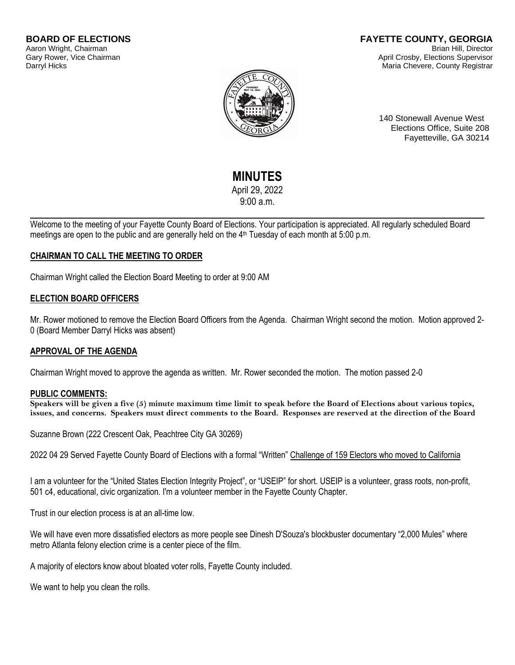#### **BOARD OF ELECTIONS** Aaron Wright, Chairman Gary Rower, Vice Chairman Darryl Hicks

#### **FAYETTE COUNTY, GEORGIA** Brian Hill, Director April Crosby, Elections Supervisor Maria Chevere, County Registrar



140 Stonewall Avenue West Elections Office, Suite 208 Fayetteville, GA 30214

# **MINUTES**

April 29, 2022

9:00 a.m.

Welcome to the meeting of your Fayette County Board of Elections. Your participation is appreciated. All regularly scheduled Board meetings are open to the public and are generally held on the 4<sup>th</sup> Tuesday of each month at 5:00 p.m.

# **CHAIRMAN TO CALL THE MEETING TO ORDER**

Chairman Wright called the Election Board Meeting to order at 9:00 AM

# **ELECTION BOARD OFFICERS**

Mr. Rower motioned to remove the Election Board Officers from the Agenda. Chairman Wright second the motion. Motion approved 2- 0 (Board Member Darryl Hicks was absent)

# **APPROVAL OF THE AGENDA**

Chairman Wright moved to approve the agenda as written. Mr. Rower seconded the motion. The motion passed 2-0

## **PUBLIC COMMENTS:**

**Speakers will be given a five (5) minute maximum time limit to speak before the Board of Elections about various topics, issues, and concerns. Speakers must direct comments to the Board. Responses are reserved at the direction of the Board**

Suzanne Brown (222 Crescent Oak, Peachtree City GA 30269)

2022 04 29 Served Fayette County Board of Elections with a formal "Written" Challenge of 159 Electors who moved to California

I am a volunteer for the "United States Election Integrity Project", or "USEIP" for short. USEIP is a volunteer, grass roots, non-profit, 501 c4, educational, civic organization. I'm a volunteer member in the Fayette County Chapter.

Trust in our election process is at an all-time low.

We will have even more dissatisfied electors as more people see Dinesh D'Souza's blockbuster documentary "2,000 Mules" where metro Atlanta felony election crime is a center piece of the film.

A majority of electors know about bloated voter rolls, Fayette County included.

We want to help you clean the rolls.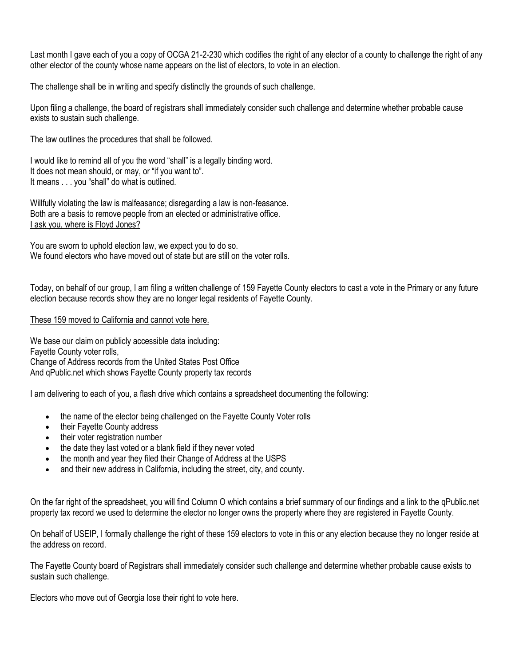Last month I gave each of you a copy of OCGA 21-2-230 which codifies the right of any elector of a county to challenge the right of any other elector of the county whose name appears on the list of electors, to vote in an election.

The challenge shall be in writing and specify distinctly the grounds of such challenge.

Upon filing a challenge, the board of registrars shall immediately consider such challenge and determine whether probable cause exists to sustain such challenge.

The law outlines the procedures that shall be followed.

I would like to remind all of you the word "shall" is a legally binding word. It does not mean should, or may, or "if you want to". It means . . . you "shall" do what is outlined.

Willfully violating the law is malfeasance; disregarding a law is non-feasance. Both are a basis to remove people from an elected or administrative office. I ask you, where is Floyd Jones?

You are sworn to uphold election law, we expect you to do so. We found electors who have moved out of state but are still on the voter rolls.

Today, on behalf of our group, I am filing a written challenge of 159 Fayette County electors to cast a vote in the Primary or any future election because records show they are no longer legal residents of Fayette County.

#### These 159 moved to California and cannot vote here.

We base our claim on publicly accessible data including: Fayette County voter rolls, Change of Address records from the United States Post Office And qPublic.net which shows Fayette County property tax records

I am delivering to each of you, a flash drive which contains a spreadsheet documenting the following:

- the name of the elector being challenged on the Fayette County Voter rolls
- their Fayette County address
- their voter registration number
- the date they last voted or a blank field if they never voted
- the month and year they filed their Change of Address at the USPS
- and their new address in California, including the street, city, and county.

On the far right of the spreadsheet, you will find Column O which contains a brief summary of our findings and a link to the qPublic.net property tax record we used to determine the elector no longer owns the property where they are registered in Fayette County.

On behalf of USEIP, I formally challenge the right of these 159 electors to vote in this or any election because they no longer reside at the address on record.

The Fayette County board of Registrars shall immediately consider such challenge and determine whether probable cause exists to sustain such challenge.

Electors who move out of Georgia lose their right to vote here.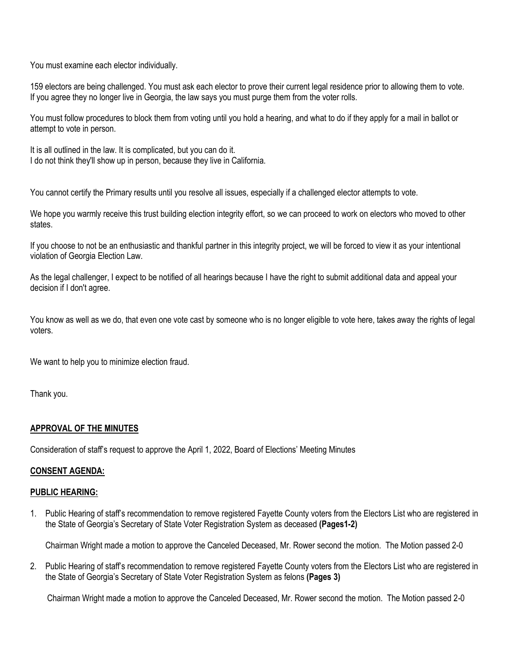You must examine each elector individually.

159 electors are being challenged. You must ask each elector to prove their current legal residence prior to allowing them to vote. If you agree they no longer live in Georgia, the law says you must purge them from the voter rolls.

You must follow procedures to block them from voting until you hold a hearing, and what to do if they apply for a mail in ballot or attempt to vote in person.

It is all outlined in the law. It is complicated, but you can do it. I do not think they'll show up in person, because they live in California.

You cannot certify the Primary results until you resolve all issues, especially if a challenged elector attempts to vote.

We hope you warmly receive this trust building election integrity effort, so we can proceed to work on electors who moved to other states.

If you choose to not be an enthusiastic and thankful partner in this integrity project, we will be forced to view it as your intentional violation of Georgia Election Law.

As the legal challenger, I expect to be notified of all hearings because I have the right to submit additional data and appeal your decision if I don't agree.

You know as well as we do, that even one vote cast by someone who is no longer eligible to vote here, takes away the rights of legal voters.

We want to help you to minimize election fraud.

Thank you.

# **APPROVAL OF THE MINUTES**

Consideration of staff's request to approve the April 1, 2022, Board of Elections' Meeting Minutes

#### **CONSENT AGENDA:**

#### **PUBLIC HEARING:**

1. Public Hearing of staff's recommendation to remove registered Fayette County voters from the Electors List who are registered in the State of Georgia's Secretary of State Voter Registration System as deceased **(Pages1-2)**

Chairman Wright made a motion to approve the Canceled Deceased, Mr. Rower second the motion. The Motion passed 2-0

2. Public Hearing of staff's recommendation to remove registered Fayette County voters from the Electors List who are registered in the State of Georgia's Secretary of State Voter Registration System as felons **(Pages 3)**

Chairman Wright made a motion to approve the Canceled Deceased, Mr. Rower second the motion. The Motion passed 2-0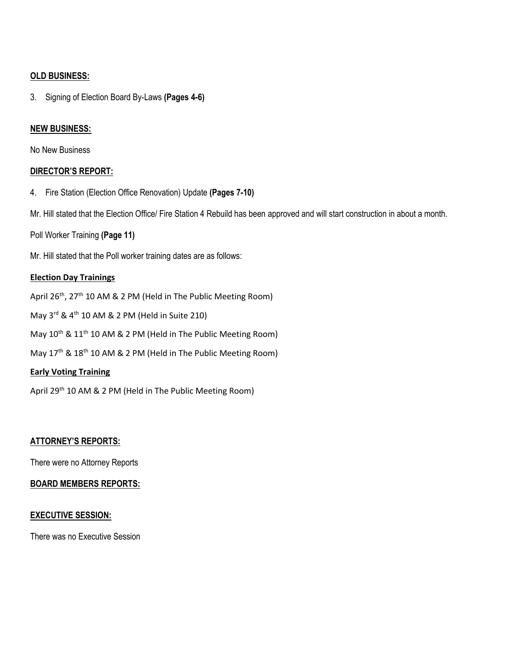#### **OLD BUSINESS:**

3. Signing of Election Board By-Laws **(Pages 4-6)**

#### **NEW BUSINESS:**

No New Business

#### **DIRECTOR'S REPORT:**

4. Fire Station (Election Office Renovation) Update **(Pages 7-10)**

Mr. Hill stated that the Election Office/ Fire Station 4 Rebuild has been approved and will start construction in about a month.

Poll Worker Training **(Page 11)**

Mr. Hill stated that the Poll worker training dates are as follows:

#### **Election Day Trainings**

April 26<sup>th</sup>, 27<sup>th</sup> 10 AM & 2 PM (Held in The Public Meeting Room)

May 3<sup>rd</sup> & 4<sup>th</sup> 10 AM & 2 PM (Held in Suite 210)

May 10<sup>th</sup> & 11<sup>th</sup> 10 AM & 2 PM (Held in The Public Meeting Room)

May 17<sup>th</sup> & 18<sup>th</sup> 10 AM & 2 PM (Held in The Public Meeting Room)

#### **Early Voting Training**

April 29<sup>th</sup> 10 AM & 2 PM (Held in The Public Meeting Room)

## **ATTORNEY'S REPORTS:**

There were no Attorney Reports

#### **BOARD MEMBERS REPORTS:**

#### **EXECUTIVE SESSION:**

There was no Executive Session